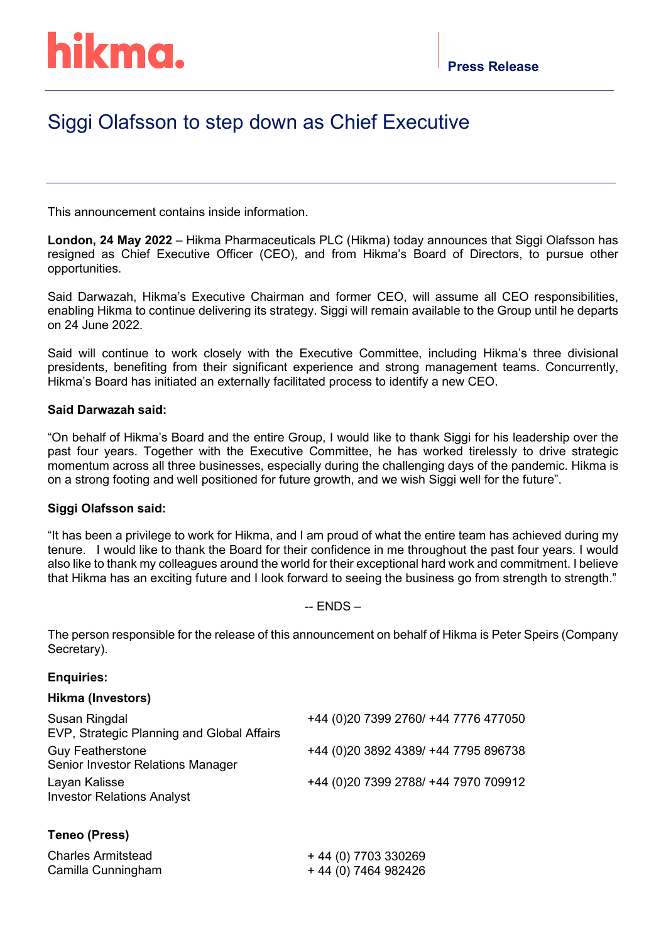# hikma.

# Siggi Olafsson to step down as Chief Executive

This announcement contains inside information.

**London, 24 May 2022** – Hikma Pharmaceuticals PLC (Hikma) today announces that Siggi Olafsson has resigned as Chief Executive Officer (CEO), and from Hikma's Board of Directors, to pursue other opportunities.

Said Darwazah, Hikma's Executive Chairman and former CEO, will assume all CEO responsibilities, enabling Hikma to continue delivering its strategy. Siggi will remain available to the Group until he departs on 24 June 2022.

Said will continue to work closely with the Executive Committee, including Hikma's three divisional presidents, benefiting from their significant experience and strong management teams. Concurrently, Hikma's Board has initiated an externally facilitated process to identify a new CEO.

#### **Said Darwazah said:**

"On behalf of Hikma's Board and the entire Group, I would like to thank Siggi for his leadership over the past four years. Together with the Executive Committee, he has worked tirelessly to drive strategic momentum across all three businesses, especially during the challenging days of the pandemic. Hikma is on a strong footing and well positioned for future growth, and we wish Siggi well for the future".

# **Siggi Olafsson said:**

"It has been a privilege to work for Hikma, and I am proud of what the entire team has achieved during my tenure. I would like to thank the Board for their confidence in me throughout the past four years. I would also like to thank my colleagues around the world for their exceptional hard work and commitment. I believe that Hikma has an exciting future and I look forward to seeing the business go from strength to strength."

#### -- ENDS –

The person responsible for the release of this announcement on behalf of Hikma is Peter Speirs (Company Secretary).

#### **Enquiries:**

#### **Hikma (Investors)**

| Susan Ringdal<br>EVP, Strategic Planning and Global Affairs         | +44 (0)20 7399 2760/ +44 7776 477050  |
|---------------------------------------------------------------------|---------------------------------------|
| <b>Guy Featherstone</b><br><b>Senior Investor Relations Manager</b> | +44 (0) 20 3892 4389/ +44 7795 896738 |
| Layan Kalisse<br><b>Investor Relations Analyst</b>                  | +44 (0)20 7399 2788/ +44 7970 709912  |

# **Teneo (Press)**

| <b>Charles Armitstead</b> | +44 (0) 7703 330269  |
|---------------------------|----------------------|
| Camilla Cunningham        | + 44 (0) 7464 982426 |